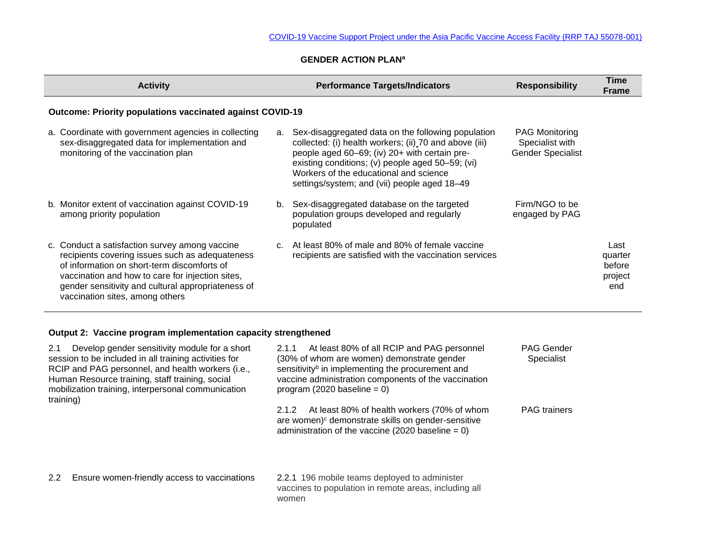## **GENDER ACTION PLAN<sup>a</sup>**

|                                                                  | <b>Activity</b>                                                                                                                                                                                                                                                                               |                | <b>Performance Targets/Indicators</b>                                                                                                                                                                                                                                                                       | <b>Responsibility</b>                                                | Time<br><b>Frame</b>                        |  |  |  |  |
|------------------------------------------------------------------|-----------------------------------------------------------------------------------------------------------------------------------------------------------------------------------------------------------------------------------------------------------------------------------------------|----------------|-------------------------------------------------------------------------------------------------------------------------------------------------------------------------------------------------------------------------------------------------------------------------------------------------------------|----------------------------------------------------------------------|---------------------------------------------|--|--|--|--|
| <b>Outcome: Priority populations vaccinated against COVID-19</b> |                                                                                                                                                                                                                                                                                               |                |                                                                                                                                                                                                                                                                                                             |                                                                      |                                             |  |  |  |  |
|                                                                  | a. Coordinate with government agencies in collecting<br>sex-disaggregated data for implementation and<br>monitoring of the vaccination plan                                                                                                                                                   | а.             | Sex-disaggregated data on the following population<br>collected: (i) health workers; (ii) 70 and above (iii)<br>people aged 60–69; (iv) 20+ with certain pre-<br>existing conditions; (v) people aged 50-59; (vi)<br>Workers of the educational and science<br>settings/system; and (vii) people aged 18-49 | <b>PAG Monitoring</b><br>Specialist with<br><b>Gender Specialist</b> |                                             |  |  |  |  |
|                                                                  | b. Monitor extent of vaccination against COVID-19<br>among priority population                                                                                                                                                                                                                | b.             | Sex-disaggregated database on the targeted<br>population groups developed and regularly<br>populated                                                                                                                                                                                                        | Firm/NGO to be<br>engaged by PAG                                     |                                             |  |  |  |  |
|                                                                  | c. Conduct a satisfaction survey among vaccine<br>recipients covering issues such as adequateness<br>of information on short-term discomforts of<br>vaccination and how to care for injection sites,<br>gender sensitivity and cultural appropriateness of<br>vaccination sites, among others | C <sub>1</sub> | At least 80% of male and 80% of female vaccine<br>recipients are satisfied with the vaccination services                                                                                                                                                                                                    |                                                                      | Last<br>quarter<br>before<br>project<br>end |  |  |  |  |

## **Output 2: Vaccine program implementation capacity strengthened**

| Develop gender sensitivity module for a short<br>2.1<br>session to be included in all training activities for<br>RCIP and PAG personnel, and health workers (i.e.,<br>Human Resource training, staff training, social<br>mobilization training, interpersonal communication<br>training) |                                              | At least 80% of all RCIP and PAG personnel<br>2.1.1<br>(30% of whom are women) demonstrate gender<br>sensitivity <sup>b</sup> in implementing the procurement and<br>vaccine administration components of the vaccination<br>program (2020 baseline = $0$ ) | <b>PAG Gender</b><br>Specialist |  |
|------------------------------------------------------------------------------------------------------------------------------------------------------------------------------------------------------------------------------------------------------------------------------------------|----------------------------------------------|-------------------------------------------------------------------------------------------------------------------------------------------------------------------------------------------------------------------------------------------------------------|---------------------------------|--|
|                                                                                                                                                                                                                                                                                          |                                              | At least 80% of health workers (70% of whom<br>2.1.2<br>are women) <sup>c</sup> demonstrate skills on gender-sensitive<br>administration of the vaccine (2020 baseline $= 0$ )                                                                              | <b>PAG</b> trainers             |  |
| $2.2^{\circ}$                                                                                                                                                                                                                                                                            | Ensure women-friendly access to vaccinations | 2.2.1 196 mobile teams deployed to administer<br>vaccines to population in remote areas, including all<br>women                                                                                                                                             |                                 |  |